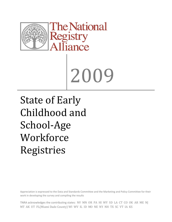

# 2009

State of Early Childhood and School‐Age **Workforce** Registries

Appreciation is expressed to the Data and Standards Committee and the Marketing and Policy Committee for their work in developing the survey and compiling the results

TNRA acknowledges the contributing states: NV MN OR PA HI WY SD LA CT CO OK AR ME NJ MT AK UT FL(Miami Dade County) WI WV IL ID MO NE NY NH TX SC VT IA KS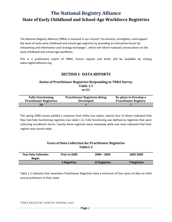The National Registry Alliance (TNRA) is invested in our mission "to enhance, strengthen, and support the work of state early childhood and school‐age registries by providing an interactive forum for networking and information and strategy exchanges", which will inform national conversations on the early childhood and school‐age workforce.

This is a preliminary report of TNRA. Future reports and briefs will be available by visiting [www.registryalliance.org](http://www.registryalliance.org/) .

## **SECTION I: DATA REPORTS**

#### **Status of Practitioner Registries Responding to TNRA Survey Table 1.1 n=31**

| <b>Fully Functioning</b>       | <b>Practitioner Registries Being</b> | No plans to Develop a        |
|--------------------------------|--------------------------------------|------------------------------|
| <b>Practitioner Registries</b> | <b>Developed</b>                     | <b>Practitioner Registry</b> |
| 24                             |                                      |                              |

The spring 2009 survey yielded a response from thirty one states, twenty four of whom indicated that they had fully functioning registries (see table 1.1). Fully functioning was defined as registries that were collecting enrollment forms. Twenty three registries were statewide while one state indicated that their registry was county‐wide.

#### **Years of Data Collection for Practitioner Registries Table1.2**

| <b>Year Data Collection</b><br><b>Began</b> | Prior to 2000 | $2000 - 2004$        | 2005-2009           |
|---------------------------------------------|---------------|----------------------|---------------------|
|                                             | 5 Registries  | <b>12 Registries</b> | <b>7 Registries</b> |

Table 1.2 indicates that seventeen Practitioner Registries have a minimum of four years of data on child care practitioners in their state.

**TNRA REGISTRY SURVEY SPRING 2009**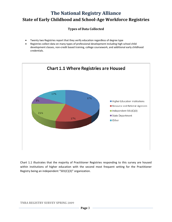## **Types of Data Collected**

- Twenty two Registries report that they verify education regardless of degree type
- Registries collect data on many types of professional development including high school child development classes, non-credit based training, college coursework, and additional early childhood credentials.



Chart 1.1 illustrates that the majority of Practitioner Registries responding to this survey are housed within institutions of higher education with the second most frequent setting for the Practitioner Registry being an independent "501(C)(3)" organization.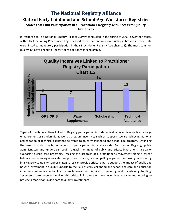# **The National Registry Alliance State of Early Childhood and SchoolAge Workforce Registries States that Link Participation in a Practitioner Registry with Access to Quality Initiatives**

In response to The National Registry Alliance survey conducted in the spring of 2009, seventeen states with fully functioning Practitioner Registries indicated that one or more quality initiatives in their state were linked to mandatory participation in their Practitioner Registry (see chart 1.2). The most common quality initiative linked to Registry participation was scholarship.



Types of quality incentives linked to Registry participation include individual incentives such as a wage enhancement or scholarship as well as program incentives such as supports toward achieving national accreditation or technical assistance delivered to an early childhood and school-age program. By linking the use of such quality initiatives to participation in a statewide Practitioner Registry, public administrators and funders can begin to track the impact of public and private investments in quality supports to child care programs. Tracking the progress of a practitioner's movement along a career ladder after receiving scholarship support for instance, is a compelling argument for linking participating in a Registry to quality supports. Registries can provide critical data to support the impact of public and private investment in quality supports to the field of early childhood and school‐age care and education in a time when accountability for such investment is vital to securing and maintaining funding. Seventeen states reported making this critical link to one or more incentives a reality and in doing so provide a model for linking data to quality investments.

#### **TNRA REGISTRY SURVEY SPRING 2009**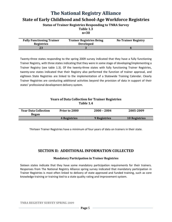**Status of Trainer Registries Responding to TNRA Survey**

**Table 1.3**

**n=30**

| <b>Fully Functioning Trainer</b><br><b>Registries</b> | <b>Trainer Registries Being</b><br><b>Developed</b> | <b>No Trainer Registry</b> |
|-------------------------------------------------------|-----------------------------------------------------|----------------------------|
| 23                                                    |                                                     |                            |

Twenty-three states responding to the spring 2009 survey indicated that they have a fully functioning Trainer Registry, with three states indicating that they were in some stage of developing/implementing a Trainer Registry (see table 1.3). Of the twenty-three states with fully functioning Trainer Registries, twenty-one states indicated that their Registry also performed the function of trainer approval, and eighteen State Registries are linked to the implementation of a Statewide Training Calendar. Clearly Trainer Registries are conducting additional activities beyond the provision of data in support of their states' professional development delivery system.

### **Years of Data Collection for Trainer Registries Table 1.4**

| <b>Year Data Collection</b><br><b>Began</b> | Prior to 2000 | $2000 - 2004$ | 2005-2009            |
|---------------------------------------------|---------------|---------------|----------------------|
|                                             | 4 Registries  | 9 Registries  | <b>10 Registries</b> |

Thirteen Trainer Registries have a minimum of four years of data on trainers in their state.

# **SECTION II: ADDITIONAL INFORMATION COLLECTED**

#### **Mandatory Participation in Trainer Registries**

Sixteen states indicate that they have some mandatory participation requirements for their trainers. Responses from The National Registry Alliance spring survey indicated that mandatory participation in Trainer Registries is most often linked to delivery of state approved and funded training, such as core knowledge training or training tied to a state quality rating and improvement system.